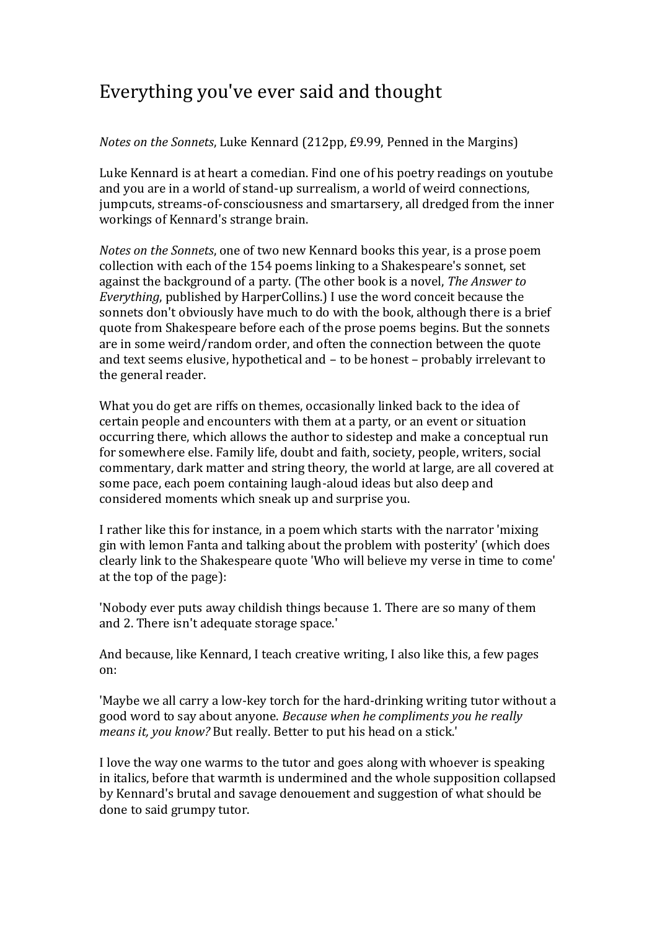## Everything you've ever said and thought

## *Notes on the Sonnets*, Luke Kennard (212pp, £9.99, Penned in the Margins)

Luke Kennard is at heart a comedian. Find one of his poetry readings on youtube and you are in a world of stand-up surrealism, a world of weird connections, jumpcuts, streams-of-consciousness and smartarsery, all dredged from the inner workings of Kennard's strange brain.

*Notes on the Sonnets*, one of two new Kennard books this year, is a prose poem collection with each of the 154 poems linking to a Shakespeare's sonnet, set against the background of a party. (The other book is a novel, *The Answer to Everything*, published by HarperCollins.) I use the word conceit because the sonnets don't obviously have much to do with the book, although there is a brief quote from Shakespeare before each of the prose poems begins. But the sonnets are in some weird/random order, and often the connection between the quote and text seems elusive, hypothetical and – to be honest – probably irrelevant to the general reader.

What you do get are riffs on themes, occasionally linked back to the idea of certain people and encounters with them at a party, or an event or situation occurring there, which allows the author to sidestep and make a conceptual run for somewhere else. Family life, doubt and faith, society, people, writers, social commentary, dark matter and string theory, the world at large, are all covered at some pace, each poem containing laugh-aloud ideas but also deep and considered moments which sneak up and surprise you.

I rather like this for instance, in a poem which starts with the narrator 'mixing gin with lemon Fanta and talking about the problem with posterity' (which does clearly link to the Shakespeare quote 'Who will believe my verse in time to come' at the top of the page):

'Nobody ever puts away childish things because 1. There are so many of them and 2. There isn't adequate storage space.'

And because, like Kennard, I teach creative writing, I also like this, a few pages on:

'Maybe we all carry a low-key torch for the hard-drinking writing tutor without a good word to say about anyone. *Because when he compliments you he really means it, you know?* But really. Better to put his head on a stick.'

I love the way one warms to the tutor and goes along with whoever is speaking in italics, before that warmth is undermined and the whole supposition collapsed by Kennard's brutal and savage denouement and suggestion of what should be done to said grumpy tutor.